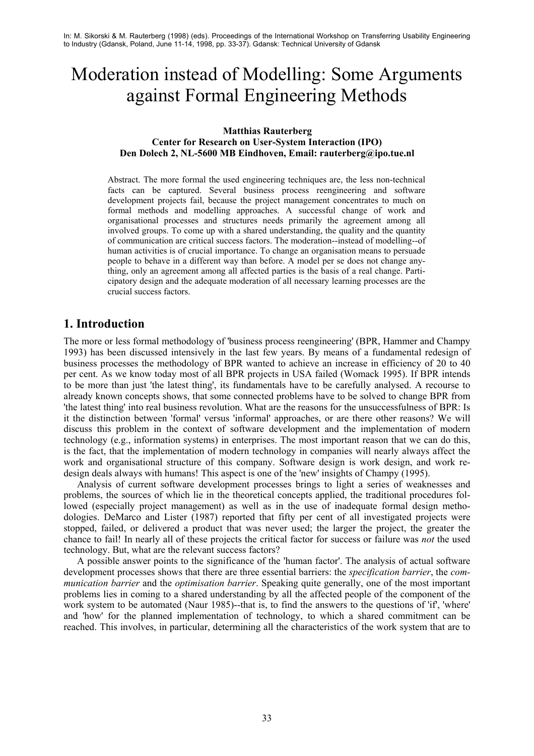# Moderation instead of Modelling: Some Arguments against Formal Engineering Methods

#### **Matthias Rauterberg Center for Research on User-System Interaction (IPO) Den Dolech 2, NL-5600 MB Eindhoven, Email: rauterberg@ipo.tue.nl**

Abstract. The more formal the used engineering techniques are, the less non-technical facts can be captured. Several business process reengineering and software development projects fail, because the project management concentrates to much on formal methods and modelling approaches. A successful change of work and organisational processes and structures needs primarily the agreement among all involved groups. To come up with a shared understanding, the quality and the quantity of communication are critical success factors. The moderation--instead of modelling--of human activities is of crucial importance. To change an organisation means to persuade people to behave in a different way than before. A model per se does not change anything, only an agreement among all affected parties is the basis of a real change. Participatory design and the adequate moderation of all necessary learning processes are the crucial success factors.

# **1. Introduction**

The more or less formal methodology of 'business process reengineering' (BPR, Hammer and Champy 1993) has been discussed intensively in the last few years. By means of a fundamental redesign of business processes the methodology of BPR wanted to achieve an increase in efficiency of 20 to 40 per cent. As we know today most of all BPR projects in USA failed (Womack 1995). If BPR intends to be more than just 'the latest thing', its fundamentals have to be carefully analysed. A recourse to already known concepts shows, that some connected problems have to be solved to change BPR from 'the latest thing' into real business revolution. What are the reasons for the unsuccessfulness of BPR: Is it the distinction between 'formal' versus 'informal' approaches, or are there other reasons? We will discuss this problem in the context of software development and the implementation of modern technology (e.g., information systems) in enterprises. The most important reason that we can do this, is the fact, that the implementation of modern technology in companies will nearly always affect the work and organisational structure of this company. Software design is work design, and work redesign deals always with humans! This aspect is one of the 'new' insights of Champy (1995).

Analysis of current software development processes brings to light a series of weaknesses and problems, the sources of which lie in the theoretical concepts applied, the traditional procedures followed (especially project management) as well as in the use of inadequate formal design methodologies. DeMarco and Lister (1987) reported that fifty per cent of all investigated projects were stopped, failed, or delivered a product that was never used; the larger the project, the greater the chance to fail! In nearly all of these projects the critical factor for success or failure was *not* the used technology. But, what are the relevant success factors?

A possible answer points to the significance of the 'human factor'. The analysis of actual software development processes shows that there are three essential barriers: the *specification barrier*, the *communication barrier* and the *optimisation barrier*. Speaking quite generally, one of the most important problems lies in coming to a shared understanding by all the affected people of the component of the work system to be automated (Naur 1985)--that is, to find the answers to the questions of 'if', 'where' and 'how' for the planned implementation of technology, to which a shared commitment can be reached. This involves, in particular, determining all the characteristics of the work system that are to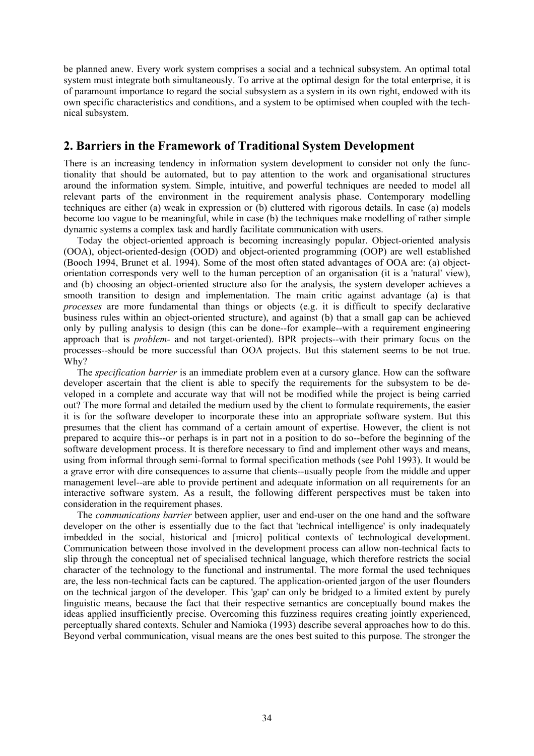be planned anew. Every work system comprises a social and a technical subsystem. An optimal total system must integrate both simultaneously. To arrive at the optimal design for the total enterprise, it is of paramount importance to regard the social subsystem as a system in its own right, endowed with its own specific characteristics and conditions, and a system to be optimised when coupled with the technical subsystem.

# **2. Barriers in the Framework of Traditional System Development**

There is an increasing tendency in information system development to consider not only the functionality that should be automated, but to pay attention to the work and organisational structures around the information system. Simple, intuitive, and powerful techniques are needed to model all relevant parts of the environment in the requirement analysis phase. Contemporary modelling techniques are either (a) weak in expression or (b) cluttered with rigorous details. In case (a) models become too vague to be meaningful, while in case (b) the techniques make modelling of rather simple dynamic systems a complex task and hardly facilitate communication with users.

Today the object-oriented approach is becoming increasingly popular. Object-oriented analysis (OOA), object-oriented-design (OOD) and object-oriented programming (OOP) are well established (Booch 1994, Brunet et al. 1994). Some of the most often stated advantages of OOA are: (a) objectorientation corresponds very well to the human perception of an organisation (it is a 'natural' view), and (b) choosing an object-oriented structure also for the analysis, the system developer achieves a smooth transition to design and implementation. The main critic against advantage (a) is that *processes* are more fundamental than things or objects (e.g. it is difficult to specify declarative business rules within an object-oriented structure), and against (b) that a small gap can be achieved only by pulling analysis to design (this can be done--for example--with a requirement engineering approach that is *problem-* and not target-oriented). BPR projects--with their primary focus on the processes--should be more successful than OOA projects. But this statement seems to be not true. Why?

The *specification barrier* is an immediate problem even at a cursory glance. How can the software developer ascertain that the client is able to specify the requirements for the subsystem to be developed in a complete and accurate way that will not be modified while the project is being carried out? The more formal and detailed the medium used by the client to formulate requirements, the easier it is for the software developer to incorporate these into an appropriate software system. But this presumes that the client has command of a certain amount of expertise. However, the client is not prepared to acquire this--or perhaps is in part not in a position to do so--before the beginning of the software development process. It is therefore necessary to find and implement other ways and means, using from informal through semi-formal to formal specification methods (see Pohl 1993). It would be a grave error with dire consequences to assume that clients--usually people from the middle and upper management level--are able to provide pertinent and adequate information on all requirements for an interactive software system. As a result, the following different perspectives must be taken into consideration in the requirement phases.

The *communications barrier* between applier, user and end-user on the one hand and the software developer on the other is essentially due to the fact that 'technical intelligence' is only inadequately imbedded in the social, historical and [micro] political contexts of technological development. Communication between those involved in the development process can allow non-technical facts to slip through the conceptual net of specialised technical language, which therefore restricts the social character of the technology to the functional and instrumental. The more formal the used techniques are, the less non-technical facts can be captured. The application-oriented jargon of the user flounders on the technical jargon of the developer. This 'gap' can only be bridged to a limited extent by purely linguistic means, because the fact that their respective semantics are conceptually bound makes the ideas applied insufficiently precise. Overcoming this fuzziness requires creating jointly experienced, perceptually shared contexts. Schuler and Namioka (1993) describe several approaches how to do this. Beyond verbal communication, visual means are the ones best suited to this purpose. The stronger the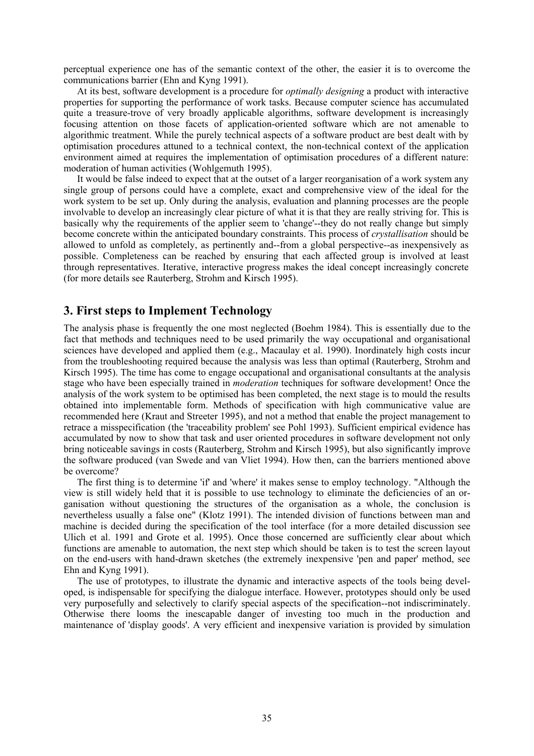perceptual experience one has of the semantic context of the other, the easier it is to overcome the communications barrier (Ehn and Kyng 1991).

At its best, software development is a procedure for *optimally designing* a product with interactive properties for supporting the performance of work tasks. Because computer science has accumulated quite a treasure-trove of very broadly applicable algorithms, software development is increasingly focusing attention on those facets of application-oriented software which are not amenable to algorithmic treatment. While the purely technical aspects of a software product are best dealt with by optimisation procedures attuned to a technical context, the non-technical context of the application environment aimed at requires the implementation of optimisation procedures of a different nature: moderation of human activities (Wohlgemuth 1995).

It would be false indeed to expect that at the outset of a larger reorganisation of a work system any single group of persons could have a complete, exact and comprehensive view of the ideal for the work system to be set up. Only during the analysis, evaluation and planning processes are the people involvable to develop an increasingly clear picture of what it is that they are really striving for. This is basically why the requirements of the applier seem to 'change'--they do not really change but simply become concrete within the anticipated boundary constraints. This process of *crystallisation* should be allowed to unfold as completely, as pertinently and--from a global perspective--as inexpensively as possible. Completeness can be reached by ensuring that each affected group is involved at least through representatives. Iterative, interactive progress makes the ideal concept increasingly concrete (for more details see Rauterberg, Strohm and Kirsch 1995).

## **3. First steps to Implement Technology**

The analysis phase is frequently the one most neglected (Boehm 1984). This is essentially due to the fact that methods and techniques need to be used primarily the way occupational and organisational sciences have developed and applied them (e.g., Macaulay et al. 1990). Inordinately high costs incur from the troubleshooting required because the analysis was less than optimal (Rauterberg, Strohm and Kirsch 1995). The time has come to engage occupational and organisational consultants at the analysis stage who have been especially trained in *moderation* techniques for software development! Once the analysis of the work system to be optimised has been completed, the next stage is to mould the results obtained into implementable form. Methods of specification with high communicative value are recommended here (Kraut and Streeter 1995), and not a method that enable the project management to retrace a misspecification (the 'traceability problem' see Pohl 1993). Sufficient empirical evidence has accumulated by now to show that task and user oriented procedures in software development not only bring noticeable savings in costs (Rauterberg, Strohm and Kirsch 1995), but also significantly improve the software produced (van Swede and van Vliet 1994). How then, can the barriers mentioned above be overcome?

The first thing is to determine 'if' and 'where' it makes sense to employ technology. "Although the view is still widely held that it is possible to use technology to eliminate the deficiencies of an organisation without questioning the structures of the organisation as a whole, the conclusion is nevertheless usually a false one" (Klotz 1991). The intended division of functions between man and machine is decided during the specification of the tool interface (for a more detailed discussion see Ulich et al. 1991 and Grote et al. 1995). Once those concerned are sufficiently clear about which functions are amenable to automation, the next step which should be taken is to test the screen layout on the end-users with hand-drawn sketches (the extremely inexpensive 'pen and paper' method, see Ehn and Kyng 1991).

The use of prototypes, to illustrate the dynamic and interactive aspects of the tools being developed, is indispensable for specifying the dialogue interface. However, prototypes should only be used very purposefully and selectively to clarify special aspects of the specification--not indiscriminately. Otherwise there looms the inescapable danger of investing too much in the production and maintenance of 'display goods'. A very efficient and inexpensive variation is provided by simulation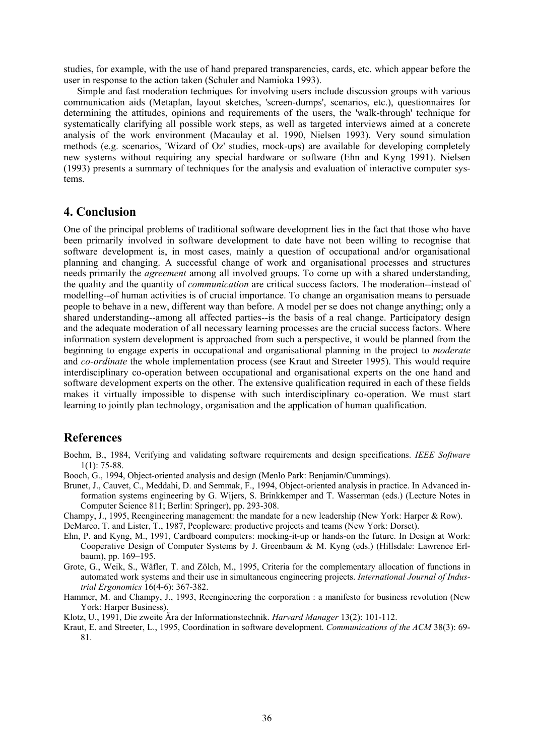studies, for example, with the use of hand prepared transparencies, cards, etc. which appear before the user in response to the action taken (Schuler and Namioka 1993).

Simple and fast moderation techniques for involving users include discussion groups with various communication aids (Metaplan, layout sketches, 'screen-dumps', scenarios, etc.), questionnaires for determining the attitudes, opinions and requirements of the users, the 'walk-through' technique for systematically clarifying all possible work steps, as well as targeted interviews aimed at a concrete analysis of the work environment (Macaulay et al. 1990, Nielsen 1993). Very sound simulation methods (e.g. scenarios, 'Wizard of Oz' studies, mock-ups) are available for developing completely new systems without requiring any special hardware or software (Ehn and Kyng 1991). Nielsen (1993) presents a summary of techniques for the analysis and evaluation of interactive computer systems.

### **4. Conclusion**

One of the principal problems of traditional software development lies in the fact that those who have been primarily involved in software development to date have not been willing to recognise that software development is, in most cases, mainly a question of occupational and/or organisational planning and changing. A successful change of work and organisational processes and structures needs primarily the *agreement* among all involved groups. To come up with a shared understanding, the quality and the quantity of *communication* are critical success factors. The moderation--instead of modelling--of human activities is of crucial importance. To change an organisation means to persuade people to behave in a new, different way than before. A model per se does not change anything; only a shared understanding--among all affected parties--is the basis of a real change. Participatory design and the adequate moderation of all necessary learning processes are the crucial success factors. Where information system development is approached from such a perspective, it would be planned from the beginning to engage experts in occupational and organisational planning in the project to *moderate* and *co-ordinate* the whole implementation process (see Kraut and Streeter 1995). This would require interdisciplinary co-operation between occupational and organisational experts on the one hand and software development experts on the other. The extensive qualification required in each of these fields makes it virtually impossible to dispense with such interdisciplinary co-operation. We must start learning to jointly plan technology, organisation and the application of human qualification.

#### **References**

- Boehm, B., 1984, Verifying and validating software requirements and design specifications. *IEEE Software* 1(1): 75-88.
- Booch, G., 1994, Object-oriented analysis and design (Menlo Park: Benjamin/Cummings).
- Brunet, J., Cauvet, C., Meddahi, D. and Semmak, F., 1994, Object-oriented analysis in practice. In Advanced information systems engineering by G. Wijers, S. Brinkkemper and T. Wasserman (eds.) (Lecture Notes in Computer Science 811; Berlin: Springer), pp. 293-308.
- Champy, J., 1995, Reengineering management: the mandate for a new leadership (New York: Harper & Row).
- DeMarco, T. and Lister, T., 1987, Peopleware: productive projects and teams (New York: Dorset).
- Ehn, P. and Kyng, M., 1991, Cardboard computers: mocking-it-up or hands-on the future. In Design at Work: Cooperative Design of Computer Systems by J. Greenbaum & M. Kyng (eds.) (Hillsdale: Lawrence Erlbaum), pp. 169–195.
- Grote, G., Weik, S., Wäfler, T. and Zölch, M., 1995, Criteria for the complementary allocation of functions in automated work systems and their use in simultaneous engineering projects. *International Journal of Industrial Ergonomics* 16(4-6): 367-382.
- Hammer, M. and Champy, J., 1993, Reengineering the corporation : a manifesto for business revolution (New York: Harper Business).
- Klotz, U., 1991, Die zweite Ära der Informationstechnik. *Harvard Manager* 13(2): 101-112.
- Kraut, E. and Streeter, L., 1995, Coordination in software development. *Communications of the ACM* 38(3): 69- 81.